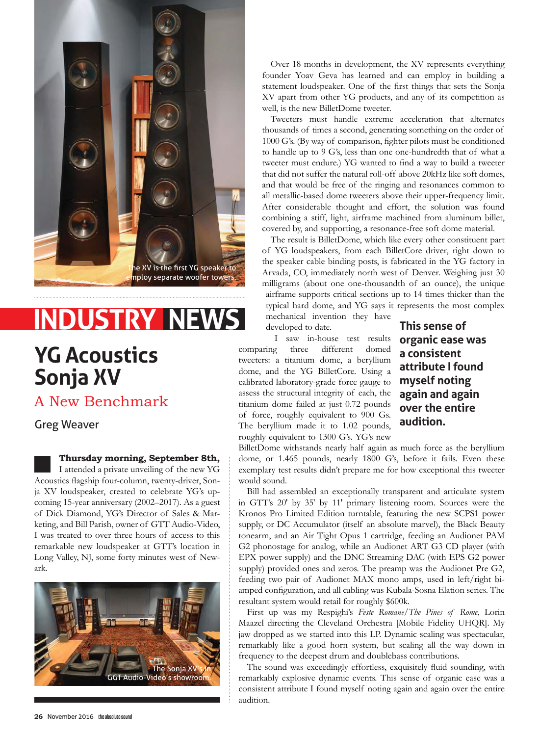

# **INDUSTRY NEW**

### **YG Acoustics Sonja XV**

### A New Benchmark

Greg Weaver

**Thursday morning, September 8th,** 

I attended a private unveiling of the new YG Acoustics flagship four-column, twenty-driver, Sonja XV loudspeaker, created to celebrate YG's upcoming 15-year anniversary (2002–2017). As a guest of Dick Diamond, YG's Director of Sales & Marketing, and Bill Parish, owner of GTT Audio-Video, I was treated to over three hours of access to this remarkable new loudspeaker at GTT's location in Long Valley, NJ, some forty minutes west of Newark.



Over 18 months in development, the XV represents everything founder Yoav Geva has learned and can employ in building a statement loudspeaker. One of the first things that sets the Sonja XV apart from other YG products, and any of its competition as well, is the new BilletDome tweeter.

Tweeters must handle extreme acceleration that alternates thousands of times a second, generating something on the order of 1000 G's. (By way of comparison, fighter pilots must be conditioned to handle up to 9 G's, less than one one-hundredth that of what a tweeter must endure.) YG wanted to find a way to build a tweeter that did not suffer the natural roll-off above 20kHz like soft domes, and that would be free of the ringing and resonances common to all metallic-based dome tweeters above their upper-frequency limit. After considerable thought and effort, the solution was found combining a stiff, light, airframe machined from aluminum billet, covered by, and supporting, a resonance-free soft dome material.

The result is BilletDome, which like every other constituent part of YG loudspeakers, from each BilletCore driver, right down to the speaker cable binding posts, is fabricated in the YG factory in Arvada, CO, immediately north west of Denver. Weighing just 30 milligrams (about one one-thousandth of an ounce), the unique airframe supports critical sections up to 14 times thicker than the typical hard dome, and YG says it represents the most complex mechanical invention they have

developed to date.

I saw in-house test results comparing three different domed tweeters: a titanium dome, a beryllium dome, and the YG BilletCore. Using a calibrated laboratory-grade force gauge to assess the structural integrity of each, the titanium dome failed at just 0.72 pounds of force, roughly equivalent to 900 Gs. The beryllium made it to 1.02 pounds, roughly equivalent to 1300 G's. YG's new

**This sense of organic ease was a consistent attribute I found myself noting again and again over the entire audition.**

BilletDome withstands nearly half again as much force as the beryllium dome, or 1.465 pounds, nearly 1800 G's, before it fails. Even these exemplary test results didn't prepare me for how exceptional this tweeter would sound.

Bill had assembled an exceptionally transparent and articulate system in GTT's 20' by 35' by 11' primary listening room. Sources were the Kronos Pro Limited Edition turntable, featuring the new SCPS1 power supply, or DC Accumulator (itself an absolute marvel), the Black Beauty tonearm, and an Air Tight Opus 1 cartridge, feeding an Audionet PAM G2 phonostage for analog, while an Audionet ART G3 CD player (with EPX power supply) and the DNC Streaming DAC (with EPS G2 power supply) provided ones and zeros. The preamp was the Audionet Pre G2, feeding two pair of Audionet MAX mono amps, used in left/right biamped configuration, and all cabling was Kubala-Sosna Elation series. The resultant system would retail for roughly \$600k.

First up was my Respighi's *Feste Romane/The Pines of Rome*, Lorin Maazel directing the Cleveland Orchestra [Mobile Fidelity UHQR]. My jaw dropped as we started into this LP. Dynamic scaling was spectacular, remarkably like a good horn system, but scaling all the way down in frequency to the deepest drum and doublebass contributions.

The sound was exceedingly effortless, exquisitely fluid sounding, with remarkably explosive dynamic events. This sense of organic ease was a consistent attribute I found myself noting again and again over the entire audition.